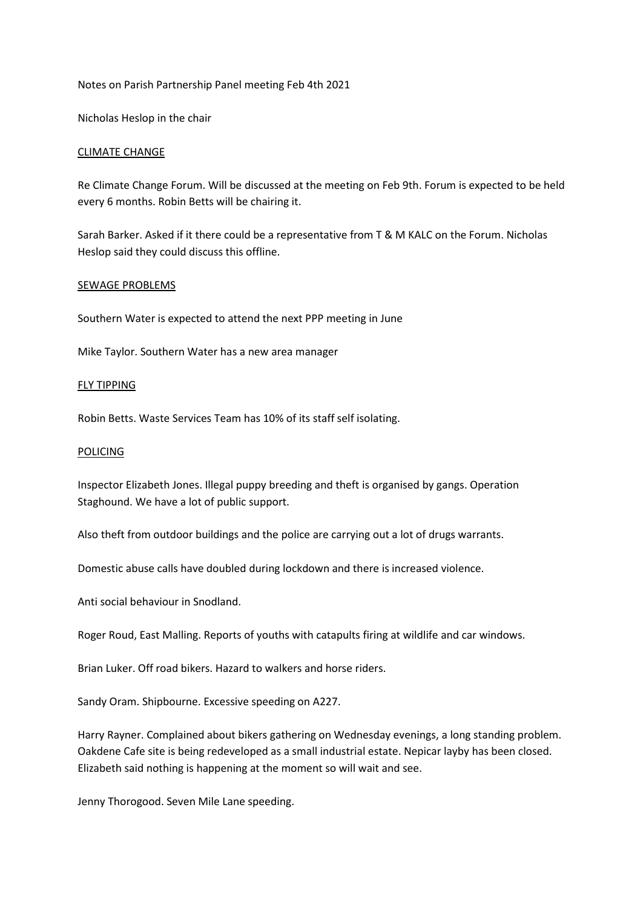### Notes on Parish Partnership Panel meeting Feb 4th 2021

Nicholas Heslop in the chair

### CLIMATE CHANGE

Re Climate Change Forum. Will be discussed at the meeting on Feb 9th. Forum is expected to be held every 6 months. Robin Betts will be chairing it.

Sarah Barker. Asked if it there could be a representative from T & M KALC on the Forum. Nicholas Heslop said they could discuss this offline.

#### SEWAGE PROBLEMS

Southern Water is expected to attend the next PPP meeting in June

Mike Taylor. Southern Water has a new area manager

### FLY TIPPING

Robin Betts. Waste Services Team has 10% of its staff self isolating.

#### POLICING

Inspector Elizabeth Jones. Illegal puppy breeding and theft is organised by gangs. Operation Staghound. We have a lot of public support.

Also theft from outdoor buildings and the police are carrying out a lot of drugs warrants.

Domestic abuse calls have doubled during lockdown and there is increased violence.

Anti social behaviour in Snodland.

Roger Roud, East Malling. Reports of youths with catapults firing at wildlife and car windows.

Brian Luker. Off road bikers. Hazard to walkers and horse riders.

Sandy Oram. Shipbourne. Excessive speeding on A227.

Harry Rayner. Complained about bikers gathering on Wednesday evenings, a long standing problem. Oakdene Cafe site is being redeveloped as a small industrial estate. Nepicar layby has been closed. Elizabeth said nothing is happening at the moment so will wait and see.

Jenny Thorogood. Seven Mile Lane speeding.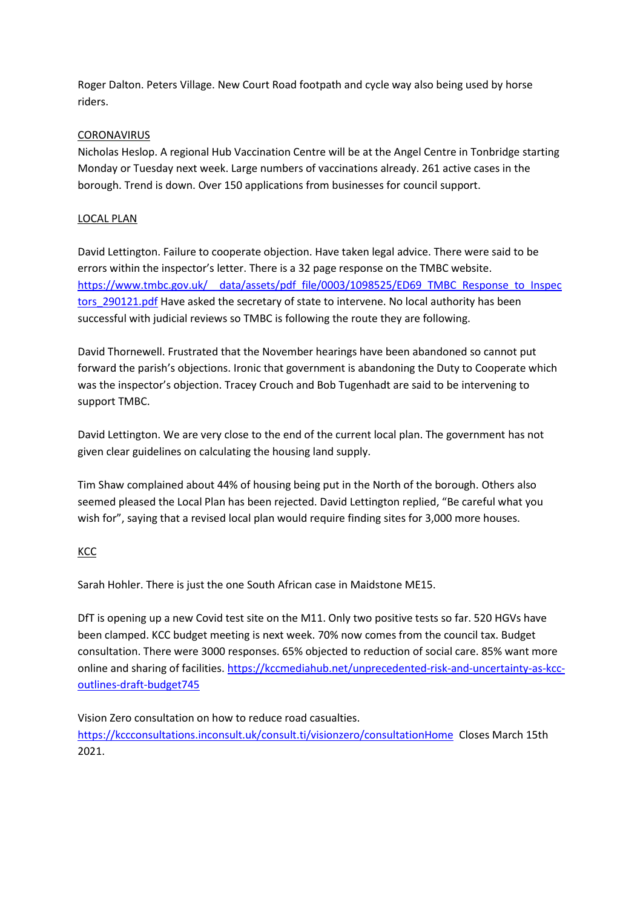Roger Dalton. Peters Village. New Court Road footpath and cycle way also being used by horse riders.

# **CORONAVIRUS**

Nicholas Heslop. A regional Hub Vaccination Centre will be at the Angel Centre in Tonbridge starting Monday or Tuesday next week. Large numbers of vaccinations already. 261 active cases in the borough. Trend is down. Over 150 applications from businesses for council support.

# LOCAL PLAN

David Lettington. Failure to cooperate objection. Have taken legal advice. There were said to be errors within the inspector's letter. There is a 32 page response on the TMBC website. [https://www.tmbc.gov.uk/\\_\\_data/assets/pdf\\_file/0003/1098525/ED69\\_TMBC\\_Response\\_to\\_Inspec](https://www.tmbc.gov.uk/__data/assets/pdf_file/0003/1098525/ED69_TMBC_Response_to_Inspectors_290121.pdf) tors 290121.pdf Have asked the secretary of state to intervene. No local authority has been successful with judicial reviews so TMBC is following the route they are following.

David Thornewell. Frustrated that the November hearings have been abandoned so cannot put forward the parish's objections. Ironic that government is abandoning the Duty to Cooperate which was the inspector's objection. Tracey Crouch and Bob Tugenhadt are said to be intervening to support TMBC.

David Lettington. We are very close to the end of the current local plan. The government has not given clear guidelines on calculating the housing land supply.

Tim Shaw complained about 44% of housing being put in the North of the borough. Others also seemed pleased the Local Plan has been rejected. David Lettington replied, "Be careful what you wish for", saying that a revised local plan would require finding sites for 3,000 more houses.

# **KCC**

Sarah Hohler. There is just the one South African case in Maidstone ME15.

DfT is opening up a new Covid test site on the M11. Only two positive tests so far. 520 HGVs have been clamped. KCC budget meeting is next week. 70% now comes from the council tax. Budget consultation. There were 3000 responses. 65% objected to reduction of social care. 85% want more online and sharing of facilities. [https://kccmediahub.net/unprecedented-risk-and-uncertainty-as-kcc](https://kccmediahub.net/unprecedented-risk-and-uncertainty-as-kcc-outlines-draft-budget745)[outlines-draft-budget745](https://kccmediahub.net/unprecedented-risk-and-uncertainty-as-kcc-outlines-draft-budget745)

Vision Zero consultation on how to reduce road casualties. <https://kccconsultations.inconsult.uk/consult.ti/visionzero/consultationHome>Closes March 15th 2021.